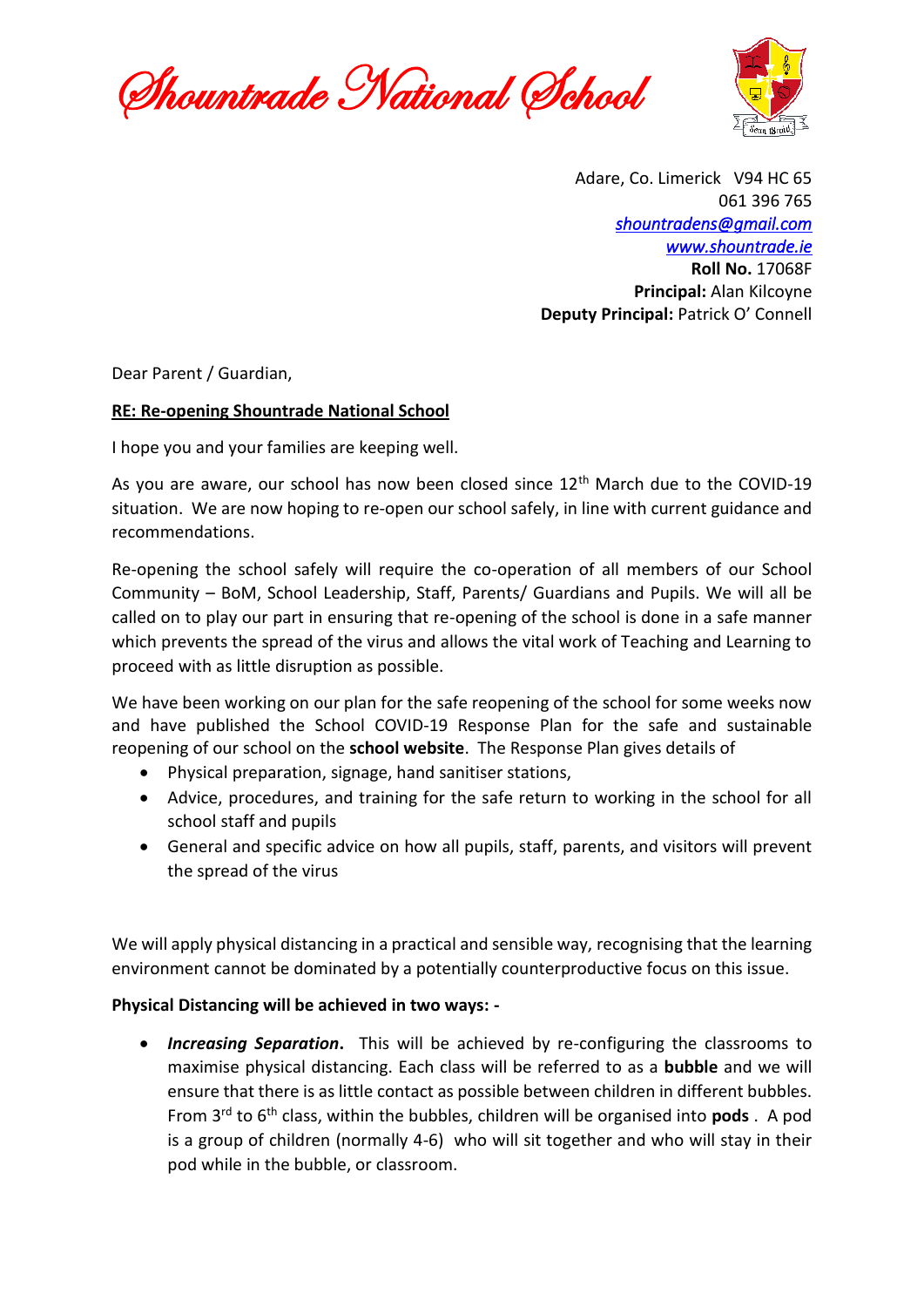Shountrade National School



Adare, Co. Limerick V94 HC 65 061 396 765 *[shountradens@gmail.com](mailto:shountradens@gmail.com) [www.shountrade.ie](http://www.shountrade.ie/)* **Roll No.** 17068F **Principal:** Alan Kilcoyne **Deputy Principal:** Patrick O' Connell

Dear Parent / Guardian,

#### **RE: Re-opening Shountrade National School**

I hope you and your families are keeping well.

As you are aware, our school has now been closed since  $12<sup>th</sup>$  March due to the COVID-19 situation. We are now hoping to re-open our school safely, in line with current guidance and recommendations.

Re-opening the school safely will require the co-operation of all members of our School Community – BoM, School Leadership, Staff, Parents/ Guardians and Pupils. We will all be called on to play our part in ensuring that re-opening of the school is done in a safe manner which prevents the spread of the virus and allows the vital work of Teaching and Learning to proceed with as little disruption as possible.

We have been working on our plan for the safe reopening of the school for some weeks now and have published the School COVID-19 Response Plan for the safe and sustainable reopening of our school on the **school website**. The Response Plan gives details of

- Physical preparation, signage, hand sanitiser stations,
- Advice, procedures, and training for the safe return to working in the school for all school staff and pupils
- General and specific advice on how all pupils, staff, parents, and visitors will prevent the spread of the virus

We will apply physical distancing in a practical and sensible way, recognising that the learning environment cannot be dominated by a potentially counterproductive focus on this issue.

## **Physical Distancing will be achieved in two ways: -**

• *Increasing Separation***.** This will be achieved by re-configuring the classrooms to maximise physical distancing. Each class will be referred to as a **bubble** and we will ensure that there is as little contact as possible between children in different bubbles. From 3rd to 6th class, within the bubbles, children will be organised into **pods** . A pod is a group of children (normally 4-6) who will sit together and who will stay in their pod while in the bubble, or classroom.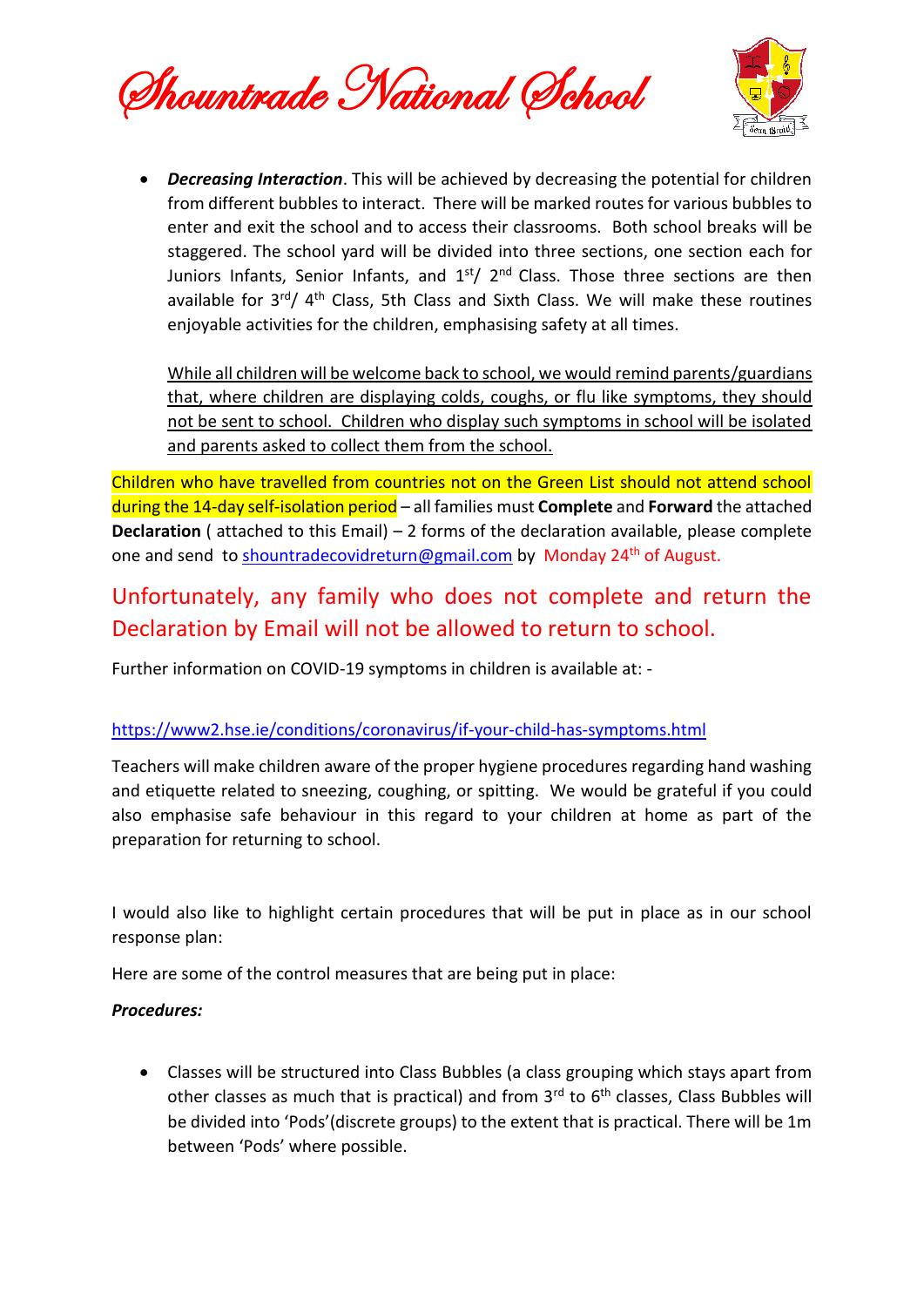Shountrade National School



• *Decreasing Interaction*. This will be achieved by decreasing the potential for children from different bubbles to interact. There will be marked routes for various bubbles to enter and exit the school and to access their classrooms. Both school breaks will be staggered. The school yard will be divided into three sections, one section each for Juniors Infants, Senior Infants, and  $1<sup>st</sup>/2<sup>nd</sup>$  Class. Those three sections are then available for 3rd/ 4th Class, 5th Class and Sixth Class. We will make these routines enjoyable activities for the children, emphasising safety at all times.

While all children will be welcome back to school, we would remind parents/guardians that, where children are displaying colds, coughs, or flu like symptoms, they should not be sent to school. Children who display such symptoms in school will be isolated and parents asked to collect them from the school.

Children who have travelled from countries not on the Green List should not attend school during the 14-day self-isolation period – all families must **Complete** and **Forward** the attached **Declaration** ( attached to this Email) – 2 forms of the declaration available, please complete one and send to [shountradecovidreturn@gmail.com](mailto:shountradecovidreturn@gmail.com) by Monday 24<sup>th</sup> of August.

# Unfortunately, any family who does not complete and return the Declaration by Email will not be allowed to return to school.

Further information on COVID-19 symptoms in children is available at: -

## <https://www2.hse.ie/conditions/coronavirus/if-your-child-has-symptoms.html>

Teachers will make children aware of the proper hygiene procedures regarding hand washing and etiquette related to sneezing, coughing, or spitting. We would be grateful if you could also emphasise safe behaviour in this regard to your children at home as part of the preparation for returning to school.

I would also like to highlight certain procedures that will be put in place as in our school response plan:

Here are some of the control measures that are being put in place:

## *Procedures:*

• Classes will be structured into Class Bubbles (a class grouping which stays apart from other classes as much that is practical) and from 3<sup>rd</sup> to 6<sup>th</sup> classes, Class Bubbles will be divided into 'Pods'(discrete groups) to the extent that is practical. There will be 1m between 'Pods' where possible.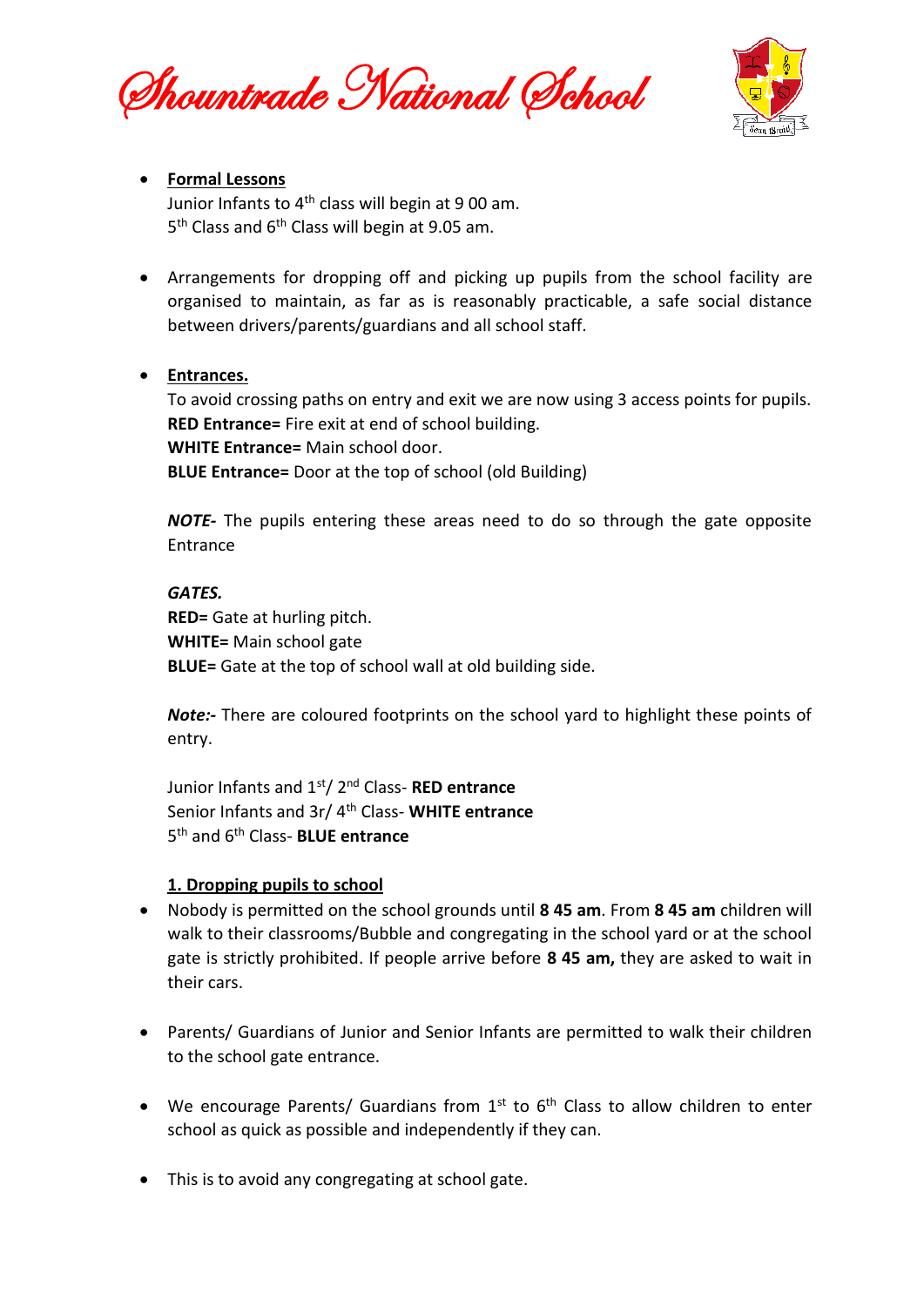Shountrade National School



# • **Formal Lessons**

Junior Infants to  $4<sup>th</sup>$  class will begin at 9 00 am. 5<sup>th</sup> Class and 6<sup>th</sup> Class will begin at 9.05 am.

• Arrangements for dropping off and picking up pupils from the school facility are organised to maintain, as far as is reasonably practicable, a safe social distance between drivers/parents/guardians and all school staff.

# • **Entrances.**

To avoid crossing paths on entry and exit we are now using 3 access points for pupils. **RED Entrance=** Fire exit at end of school building. **WHITE Entrance=** Main school door. **BLUE Entrance=** Door at the top of school (old Building)

*NOTE-* The pupils entering these areas need to do so through the gate opposite Entrance

#### *GATES.*

**RED=** Gate at hurling pitch. **WHITE=** Main school gate **BLUE=** Gate at the top of school wall at old building side.

*Note:-* There are coloured footprints on the school yard to highlight these points of entry.

Junior Infants and 1st/ 2nd Class- **RED entrance** Senior Infants and 3r/ 4th Class- **WHITE entrance** 5 th and 6th Class- **BLUE entrance**

## **1. Dropping pupils to school**

- Nobody is permitted on the school grounds until **8 45 am**. From **8 45 am** children will walk to their classrooms/Bubble and congregating in the school yard or at the school gate is strictly prohibited. If people arrive before **8 45 am,** they are asked to wait in their cars.
- Parents/ Guardians of Junior and Senior Infants are permitted to walk their children to the school gate entrance.
- We encourage Parents/ Guardians from  $1<sup>st</sup>$  to  $6<sup>th</sup>$  Class to allow children to enter school as quick as possible and independently if they can.
- This is to avoid any congregating at school gate.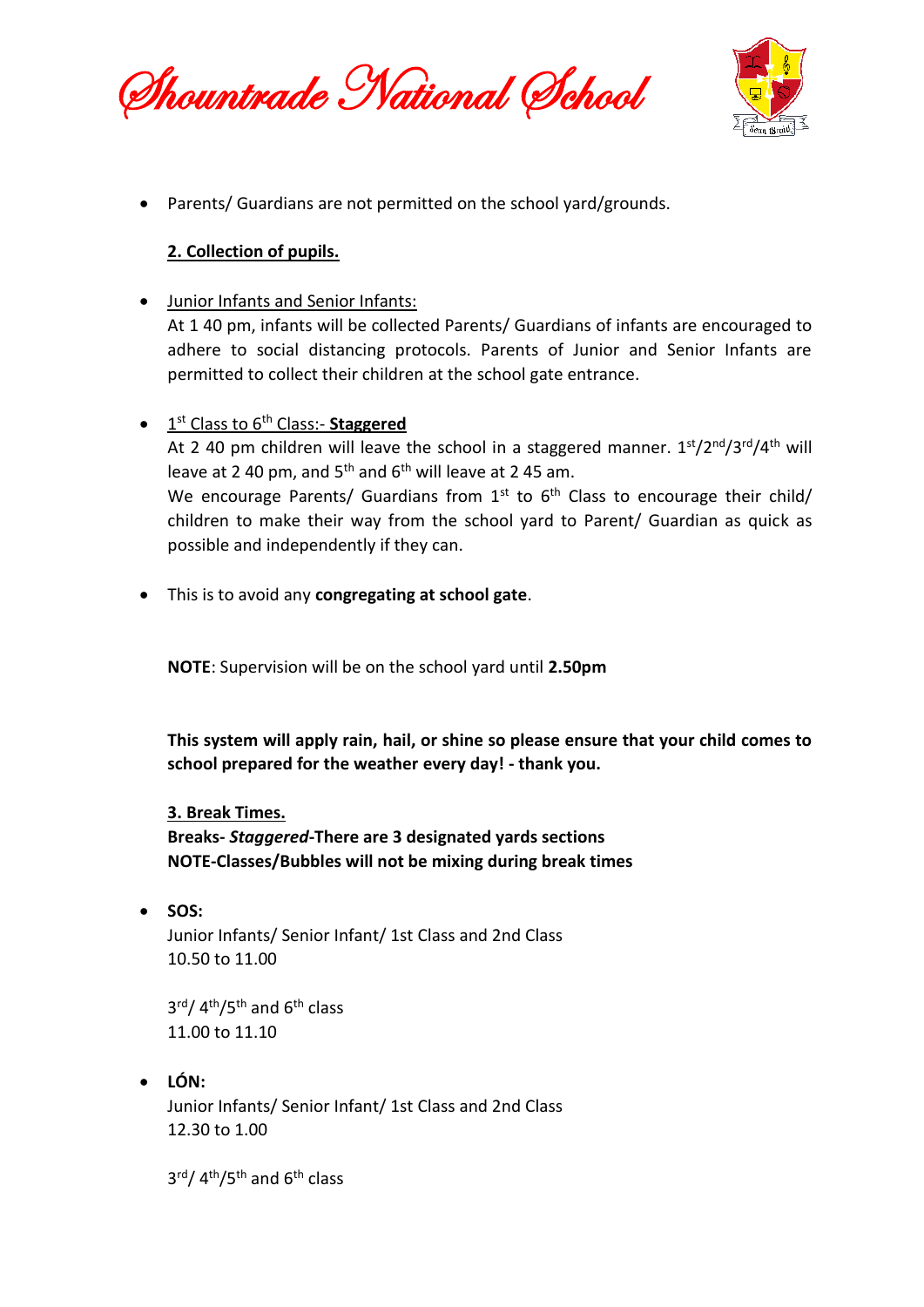Shountrade National School



• Parents/ Guardians are not permitted on the school yard/grounds.

# **2. Collection of pupils.**

- Junior Infants and Senior Infants: At 1 40 pm, infants will be collected Parents/ Guardians of infants are encouraged to adhere to social distancing protocols. Parents of Junior and Senior Infants are permitted to collect their children at the school gate entrance.
- 1 st Class to 6th Class:- **Staggered** At 2 40 pm children will leave the school in a staggered manner.  $1<sup>st</sup>/2<sup>nd</sup>/3<sup>rd</sup>/4<sup>th</sup>$  will leave at 2 40 pm, and  $5<sup>th</sup>$  and  $6<sup>th</sup>$  will leave at 2 45 am. We encourage Parents/ Guardians from  $1^{st}$  to  $6^{th}$  Class to encourage their child/ children to make their way from the school yard to Parent/ Guardian as quick as possible and independently if they can.
- This is to avoid any **congregating at school gate**.

**NOTE**: Supervision will be on the school yard until **2.50pm**

**This system will apply rain, hail, or shine so please ensure that your child comes to school prepared for the weather every day! - thank you.**

**3. Break Times. Breaks-** *Staggered***-There are 3 designated yards sections NOTE-Classes/Bubbles will not be mixing during break times**

• **SOS:** Junior Infants/ Senior Infant/ 1st Class and 2nd Class 10.50 to 11.00

3<sup>rd</sup>/ 4<sup>th</sup>/5<sup>th</sup> and 6<sup>th</sup> class 11.00 to 11.10

• **LÓN:** Junior Infants/ Senior Infant/ 1st Class and 2nd Class 12.30 to 1.00

3<sup>rd</sup>/ 4<sup>th</sup>/5<sup>th</sup> and 6<sup>th</sup> class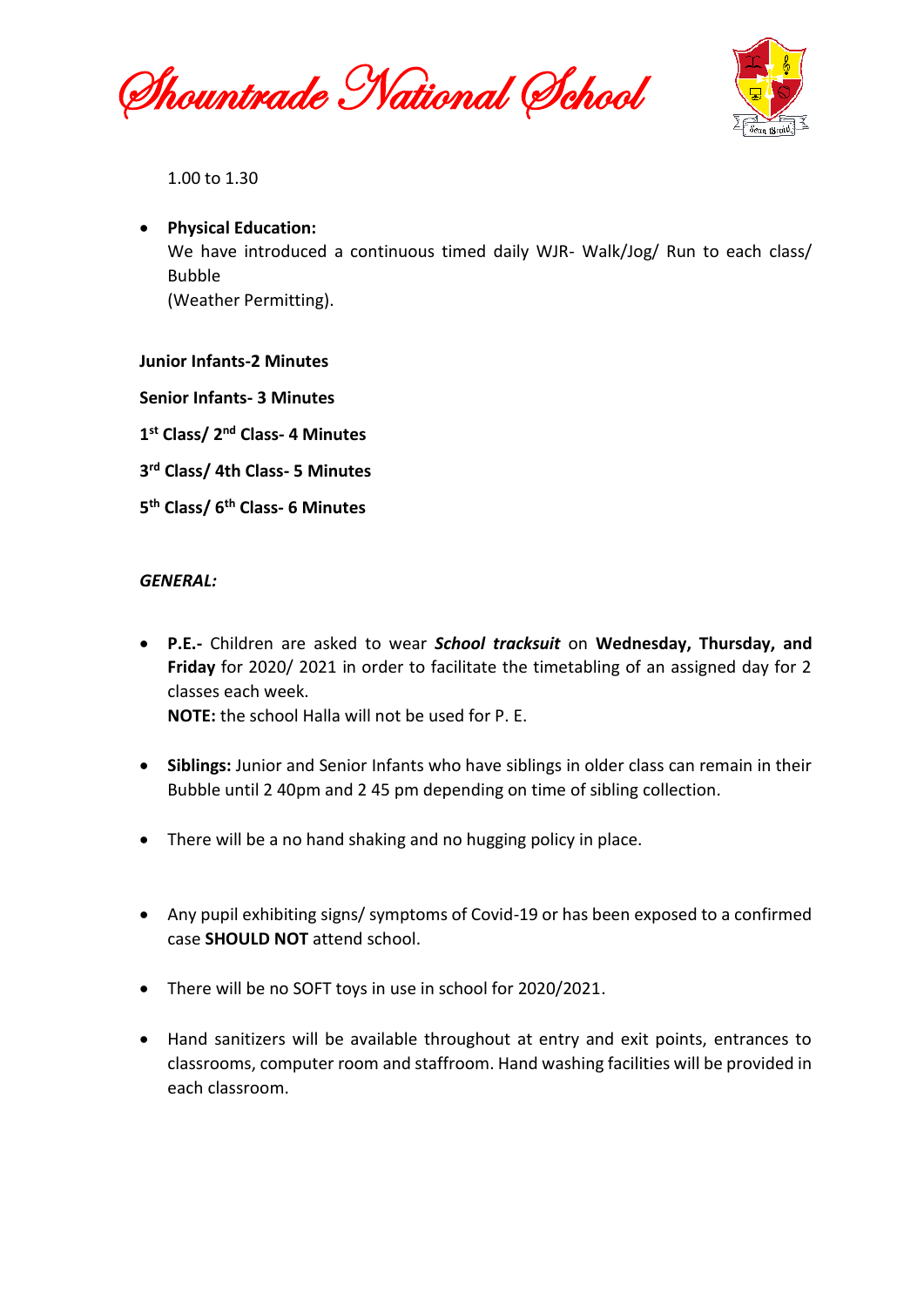Shountrade National School



1.00 to 1.30

• **Physical Education:** We have introduced a continuous timed daily WJR- Walk/Jog/ Run to each class/ Bubble (Weather Permitting).

#### **Junior Infants-2 Minutes**

**Senior Infants- 3 Minutes**

**1 st Class/ 2nd Class- 4 Minutes**

- **3 rd Class/ 4th Class- 5 Minutes**
- **5 th Class/ 6th Class- 6 Minutes**

#### *GENERAL:*

• **P.E.-** Children are asked to wear *School tracksuit* on **Wednesday, Thursday, and Friday** for 2020/ 2021 in order to facilitate the timetabling of an assigned day for 2 classes each week. **NOTE:** the school Halla will not be used for P. E.

- **Siblings:** Junior and Senior Infants who have siblings in older class can remain in their Bubble until 2 40pm and 2 45 pm depending on time of sibling collection.
- There will be a no hand shaking and no hugging policy in place.
- Any pupil exhibiting signs/ symptoms of Covid-19 or has been exposed to a confirmed case **SHOULD NOT** attend school.
- There will be no SOFT toys in use in school for 2020/2021.
- Hand sanitizers will be available throughout at entry and exit points, entrances to classrooms, computer room and staffroom. Hand washing facilities will be provided in each classroom.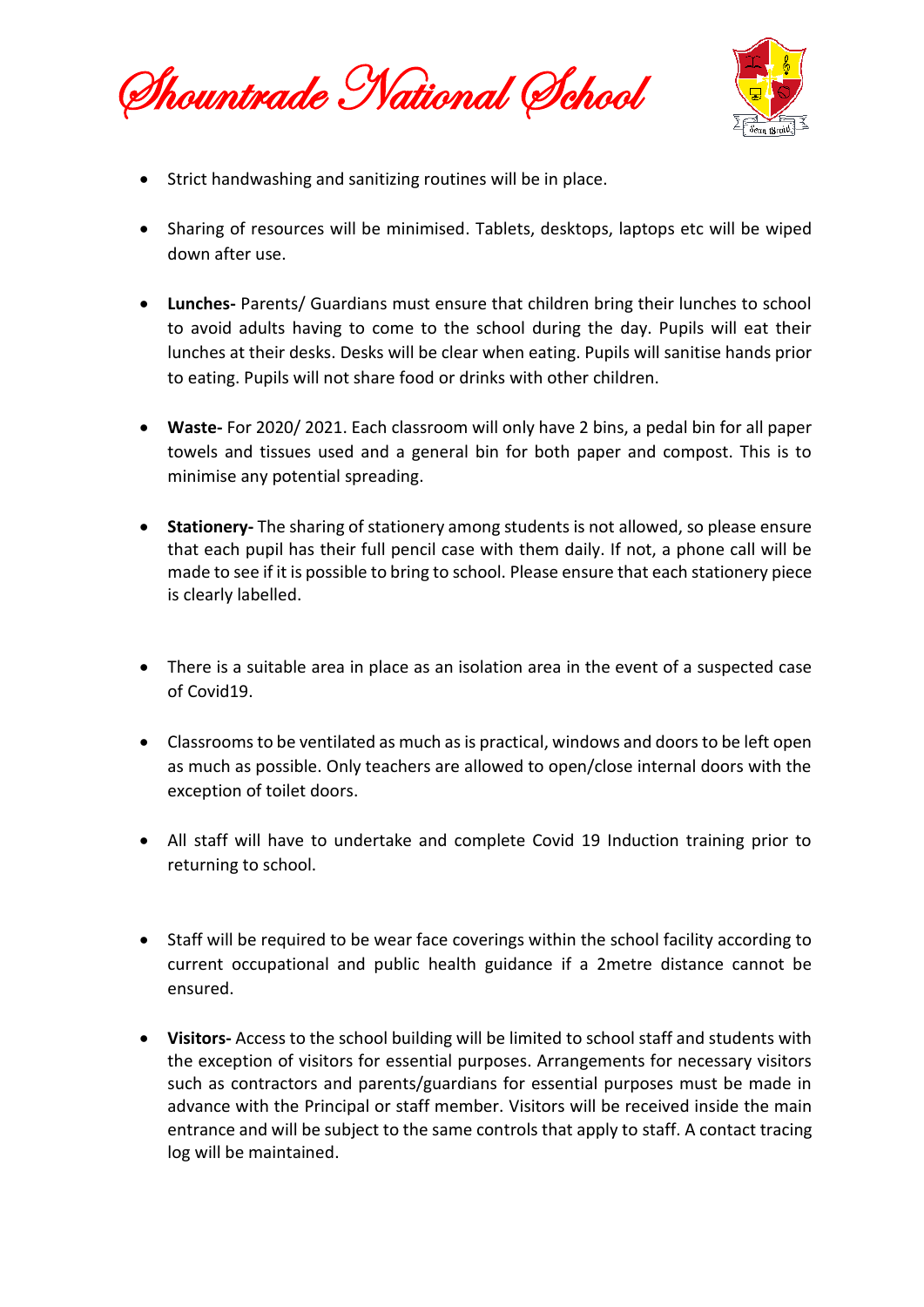Shountrade National School



- Strict handwashing and sanitizing routines will be in place.
- Sharing of resources will be minimised. Tablets, desktops, laptops etc will be wiped down after use.
- **Lunches-** Parents/ Guardians must ensure that children bring their lunches to school to avoid adults having to come to the school during the day. Pupils will eat their lunches at their desks. Desks will be clear when eating. Pupils will sanitise hands prior to eating. Pupils will not share food or drinks with other children.
- **Waste-** For 2020/ 2021. Each classroom will only have 2 bins, a pedal bin for all paper towels and tissues used and a general bin for both paper and compost. This is to minimise any potential spreading.
- **Stationery-** The sharing of stationery among students is not allowed, so please ensure that each pupil has their full pencil case with them daily. If not, a phone call will be made to see if it is possible to bring to school. Please ensure that each stationery piece is clearly labelled.
- There is a suitable area in place as an isolation area in the event of a suspected case of Covid19.
- Classrooms to be ventilated as much as is practical, windows and doors to be left open as much as possible. Only teachers are allowed to open/close internal doors with the exception of toilet doors.
- All staff will have to undertake and complete Covid 19 Induction training prior to returning to school.
- Staff will be required to be wear face coverings within the school facility according to current occupational and public health guidance if a 2metre distance cannot be ensured.
- **Visitors-** Access to the school building will be limited to school staff and students with the exception of visitors for essential purposes. Arrangements for necessary visitors such as contractors and parents/guardians for essential purposes must be made in advance with the Principal or staff member. Visitors will be received inside the main entrance and will be subject to the same controls that apply to staff. A contact tracing log will be maintained.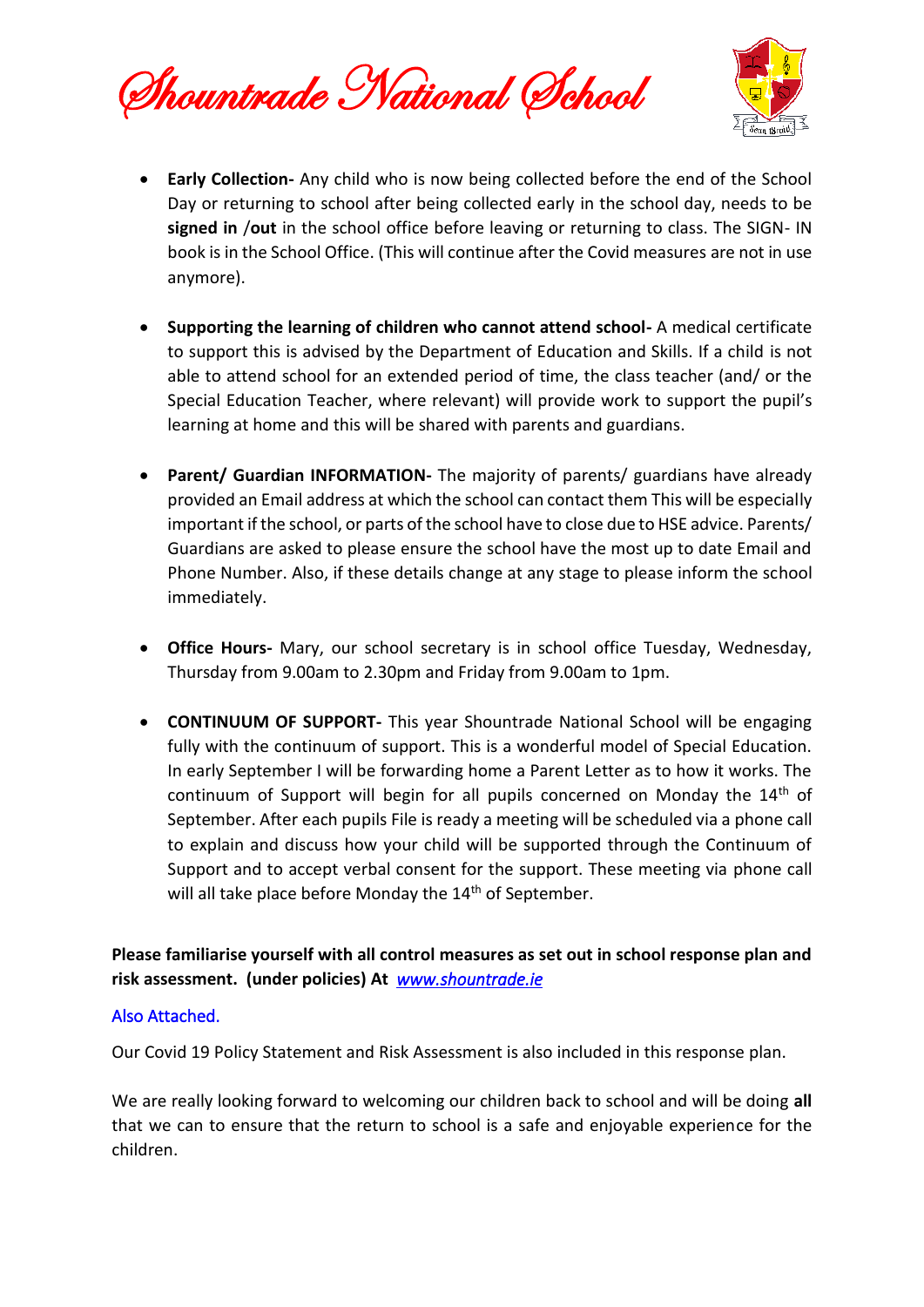Shountrade National School



- **Early Collection-** Any child who is now being collected before the end of the School Day or returning to school after being collected early in the school day, needs to be **signed in** /**out** in the school office before leaving or returning to class. The SIGN- IN book is in the School Office. (This will continue after the Covid measures are not in use anymore).
- **Supporting the learning of children who cannot attend school-** A medical certificate to support this is advised by the Department of Education and Skills. If a child is not able to attend school for an extended period of time, the class teacher (and/ or the Special Education Teacher, where relevant) will provide work to support the pupil's learning at home and this will be shared with parents and guardians.
- **Parent/ Guardian INFORMATION-** The majority of parents/ guardians have already provided an Email address at which the school can contact them This will be especially important if the school, or parts of the school have to close due to HSE advice. Parents/ Guardians are asked to please ensure the school have the most up to date Email and Phone Number. Also, if these details change at any stage to please inform the school immediately.
- **Office Hours-** Mary, our school secretary is in school office Tuesday, Wednesday, Thursday from 9.00am to 2.30pm and Friday from 9.00am to 1pm.
- **CONTINUUM OF SUPPORT-** This year Shountrade National School will be engaging fully with the continuum of support. This is a wonderful model of Special Education. In early September I will be forwarding home a Parent Letter as to how it works. The continuum of Support will begin for all pupils concerned on Monday the  $14<sup>th</sup>$  of September. After each pupils File is ready a meeting will be scheduled via a phone call to explain and discuss how your child will be supported through the Continuum of Support and to accept verbal consent for the support. These meeting via phone call will all take place before Monday the 14<sup>th</sup> of September.

**Please familiarise yourself with all control measures as set out in school response plan and risk assessment. (under policies) At** *[www.shountrade.ie](http://www.shountrade.ie/)* 

#### Also Attached.

Our Covid 19 Policy Statement and Risk Assessment is also included in this response plan.

We are really looking forward to welcoming our children back to school and will be doing **all**  that we can to ensure that the return to school is a safe and enjoyable experience for the children.